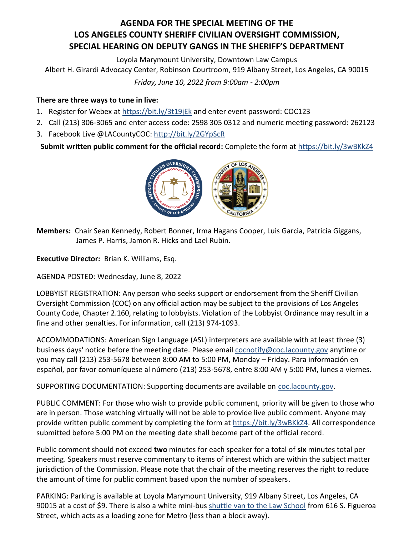## **AGENDA FOR THE SPECIAL MEETING OF THE LOS ANGELES COUNTY SHERIFF CIVILIAN OVERSIGHT COMMISSION, SPECIAL HEARING ON DEPUTY GANGS IN THE SHERIFF'S DEPARTMENT**

Loyola Marymount University, Downtown Law Campus

Albert H. Girardi Advocacy Center, Robinson Courtroom, 919 Albany Street, Los Angeles, CA 90015

*Friday, June 10, 2022 from 9:00am - 2:00pm*

## **There are three ways to tune in live:**

- 1. Register for Webex at <https://bit.ly/3t19jEk> and enter event password: COC123
- 2. Call (213) 306-3065 and enter access code: 2598 305 0312 and numeric meeting password: 262123
- 3. Facebook Live @LACountyCOC:<http://bit.ly/2GYpScR>

**Submit written public comment for the official record:** Complete the form a[t https://bit.ly/3wBKkZ4](https://bit.ly/3wBKkZ4)



**Members:** Chair Sean Kennedy, Robert Bonner, Irma Hagans Cooper, Luis Garcia, Patricia Giggans, James P. Harris, Jamon R. Hicks and Lael Rubin.

**Executive Director:** Brian K. Williams, Esq.

AGENDA POSTED: Wednesday, June 8, 2022

LOBBYIST REGISTRATION: Any person who seeks support or endorsement from the Sheriff Civilian Oversight Commission (COC) on any official action may be subject to the provisions of Los Angeles County Code, Chapter 2.160, relating to lobbyists. Violation of the Lobbyist Ordinance may result in a fine and other penalties. For information, call (213) 974-1093.

ACCOMMODATIONS: American Sign Language (ASL) interpreters are available with at least three (3) business days' notice before the meeting date. Please emai[l cocnotify@coc.lacounty.gov](mailto:cocnotify@coc.lacounty.gov) anytime or you may call (213) 253-5678 between 8:00 AM to 5:00 PM, Monday – Friday. Para información en español, por favor comuníquese al número (213) 253-5678, entre 8:00 AM y 5:00 PM, lunes a viernes.

SUPPORTING DOCUMENTATION: Supporting documents are available on [coc.lacounty.gov.](https://coc.lacounty.gov/)

PUBLIC COMMENT: For those who wish to provide public comment, priority will be given to those who are in person. Those watching virtually will not be able to provide live public comment. Anyone may provide written public comment by completing the form at [https://bit.ly/3wBKkZ4.](https://bit.ly/3wBKkZ4) All correspondence submitted before 5:00 PM on the meeting date shall become part of the official record.

Public comment should not exceed **two** minutes for each speaker for a total of **six** minutes total per meeting. Speakers must reserve commentary to items of interest which are within the subject matter jurisdiction of the Commission. Please note that the chair of the meeting reserves the right to reduce the amount of time for public comment based upon the number of speakers.

PARKING: Parking is available at Loyola Marymount University, 919 Albany Street, Los Angeles, CA 90015 at a cost of \$9. There is also a white mini-bus [shuttle van to the Law School](https://campusoperations.lls.edu/parking-transportation/shuttle) from 616 S. Figueroa Street, which acts as a loading zone for Metro (less than a block away).